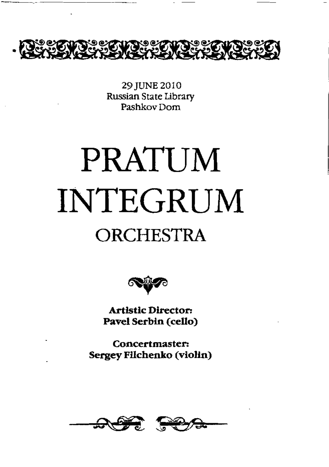

29 JUNE 2010 Russian State Library Pashkov Dom

# **PRATUM INTEGRUM** ORCHESTRA



**Artistic Director: Pavel Serbin (cello)**

**Concertmaster: Sergey Filchenko (violin)**

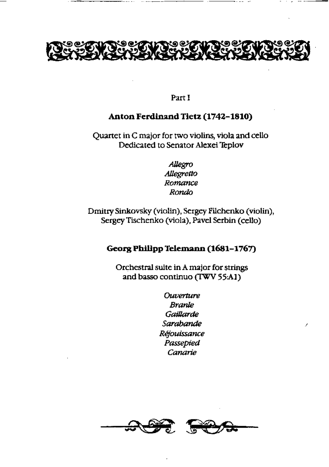

 $\sim$ 

## **Part I**

## **Anton Ferdinand Tietz (1742-1810)**

**Quartet in C major for two violins, viola and cello Dedicated to Senator Alexei Teplov**

> *Allegro Allegretto Romance Rondo*

**Dmitry Sink.ovsky (violin), Sergey Pilchenko (violin), Sergey Tischenko (viola), Pavel Serbin (cello)**

## **Georg Philipp Telemann (1681-1767)**

**Orchestral suite in A major for strings and basso continuo (TWV 55A1)**

> *Ouverture Branle Gaillarde Sarabande Réjouissance Passepied Canane*

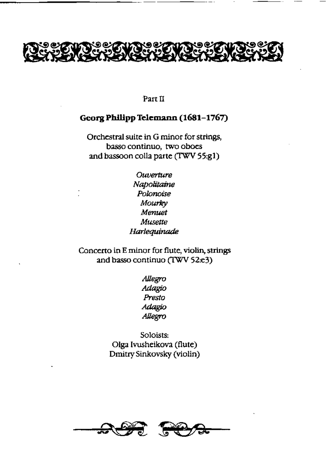

Part 11

## **Georg Philipp Telemann (1681-1767)**

Orchestral suite in G minor for strings, basso continuo, two oboes and bassoon colla parte (TWV 55:g1)

> *Ouverture Napolitaine Polonoise Mourky Menuet Musette Harlequinade*

Concerto in E minor for flute, violin, strings and basso continuo (TWV 52:e3)

> *Allegro Adagio Presto Adagio Allegro*

Soloists: Olga Ivusheikova (flute) Dmitry Sinkovsky (violin)

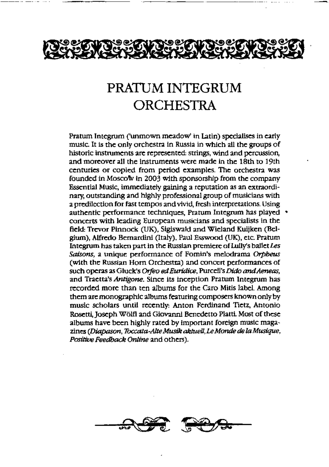

## PRATUM INTEGRUM **ORCHESTRA**

Pratum Integrum ('unmown meadow' in Latin) specialises in early music It is the only orchestra in Russia in which all the groups of historic instruments arc represented: strings, wind and percussion, and moreover all the instruments were made in the 18th to 19th centuries or copied from period examples. The orchestra was founded in Moscow in 2003 with sponsorship from the company Essential Music, immediately gaining a reputation as an extraordinary, outstanding and highly professional group of musicians with a predilection for fast tempos and vivid, fresh interpretations. Using authentic performance techniques, Pratum Integrum has played concerts with leading European musicians and specialists in the field: Trevor Pinnock (UK), Slgiswald and Wieland Kuijken (Belgium), Alfredo Bernardini (Italy), Paul Esswood (UK), etc. Pratum Integrum has taken part in the Russian premiere of LuIly's ballet *Les Saisons,* a unique performance of Fomin's melodrama *Orpheus* (with the Russian Horn Orchestra) and concert performances of *such operas as Gluck's Orfea ed Euridice, Purcell's Dido and Aeneas,* and Traetta's *Antigone.* Since its inception Pratum Inrcgrum has recorded more than ten albums for the Caro Mitis label. Among them are monographic albums featuring composers known only by music scholars until recently; Anton Ferdinand Tietz, Antonio Rosetti, Joseph Wölfl and Giovanni Benedetto Platti. Most of these albums have been highly rated by important foreign music maga*zines (Diapason, Toccata Alte Musik aktuell, Le Monde de la Musique, Positive Feedback Online and others).*

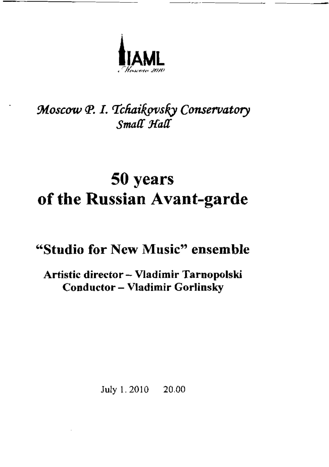

## *Moscow {P. I. TéfiaikovsIy Conservatory* Small Hall

## **50 years of the Russian Avant-garde**

## **"Studio for New Music" ensemble**

## **Artistic director — Vladimir Tarnopolski Conductor — Vladimir Gorlinsky**

July 1.2010 20.00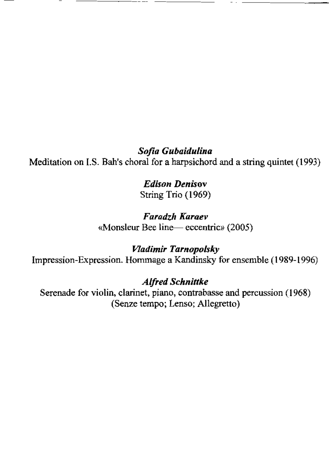*Sofia Gubaidulina* Meditation on I.S. Bah's choral for a harpsichord and a string quintet (1993)

> *Edison Denisov* String Trio (1969)

*Faradzh Karaev* «Monsieur Bee line— eccentric» (2005)

*Vladimir Tarnopolsky* Impression-Expression. Hommage a Kandinsky for ensemble (1989-1996)

*Alfred Schnittke*

Serenade for violin, clarinet, piano, contrabasse and percussion (1968) (Senze tempo; Lenso; Allegretto)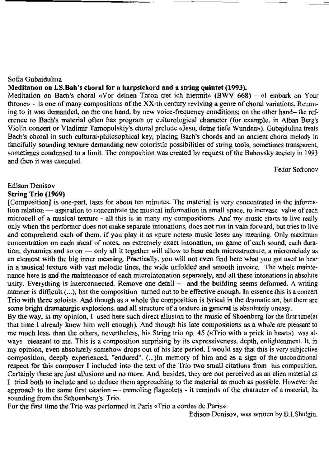### Sofia Gubaidulina

## **Meditation on I.S.Bah's choral for a harpsichord and a string quintet (1993).**

Meditation on Bach's choral «Vor deinen Thron tret ich hiermit» (BWV 668) — «I embark on Your throne» — is one of many compositions of the XX-th century reviving a genre of choral variations. Returning to it was demanded, an the one*hand,* by new voice-frequency conditions; on the other hand— the reference to Bach's material often has program or culturological character (for example, in Alban Berg's Violin concert or Vladimir Tarnopolskiy's choral prelude «Jesu, deine liefe Wunden»). Gubajdulina treats Bach's choral in such cultural-philosophical key, placing Bach's chords and an ancient choral melody in fancifully sounding texture demanding new coloristic possibilities of string tools, sometimes transparent, sometimes condensed to a limit. The composition was created by request of the Bahovsky society in 1993 and then it was executed.

Fedor Sofronov

## Edison Denisov

## **String Trio (1969)**

[Composition] is one-part, lasts for about ten minutes. The material is very concentrated in the information relation — aspiration to concentrate the musical information **in** small space, to increase value of each microcell of a musical texture - all this is in many my compositions. And my music starts to live really only when the performer does not make separate intonations, does **not run** in vain forward, but tries to live and comprehend each of them. If you play it as «pure notes» music loses any meaning. Only maximum concentration on each sheaf of notes, on extremely exact intonation, on game of each sound, each duration, dynamics and so on — only all it together will allow to **hear each** microstructure, a micromelody as an element with the big inner meaning. Practically, you will not *even* **find** here what you got used to hear in a musical texture with vast melodic lines, the wide unfolded and smooth invoice. The whole maintenance here is and the maintenance of each microintonation separately, and all these intonations in absolute unity. Everything is interconnected. Remove one detail — and the building seems deformed. A writing manner is difficult (...), but the composition turned out to be effective enough. In essence this is a concert Trio with three soloists. And though as a whole the composition is lyrical in the dramatic art, but there are some bright dramaturgic explosions, and all structure of a texture in general is absolutely uneasy.

By the way, in my opinion, I used here such direct allusion to the music of Shoenberg for the first time(at that time I already knew him well enough). And though his late compositions as a whole are pleasant to me much less, than the others, nevertheless, his String trio op. 45 («Trio with a prick in heart») was al. ways pleasant to me. This is a composition surprising by its expressiveness, depth, enlightenment. It, in my opinion, even absolutely somehow drops out of his late period. I would say that this is very subjective composition, deeply experienced, "endured". (...)In memory of him and as a sign of the unconditional respect for this composer I included into the text of the Trio two small citations from his composition. Certainly these are just allusions and no more. And, besides, they are not perceived as an alien material as I tried both to include and to deduce them approaching to the material as much as possible. However the approach to the same first citation — tremoling flageolets - it reminds of the character of a material, its sounding from the Schoenberg's Trio.

For the first time the Trio was performed in Paris «Trio a cordes de Paris».

Edison Denisov, was written by D.I.Shulgin.